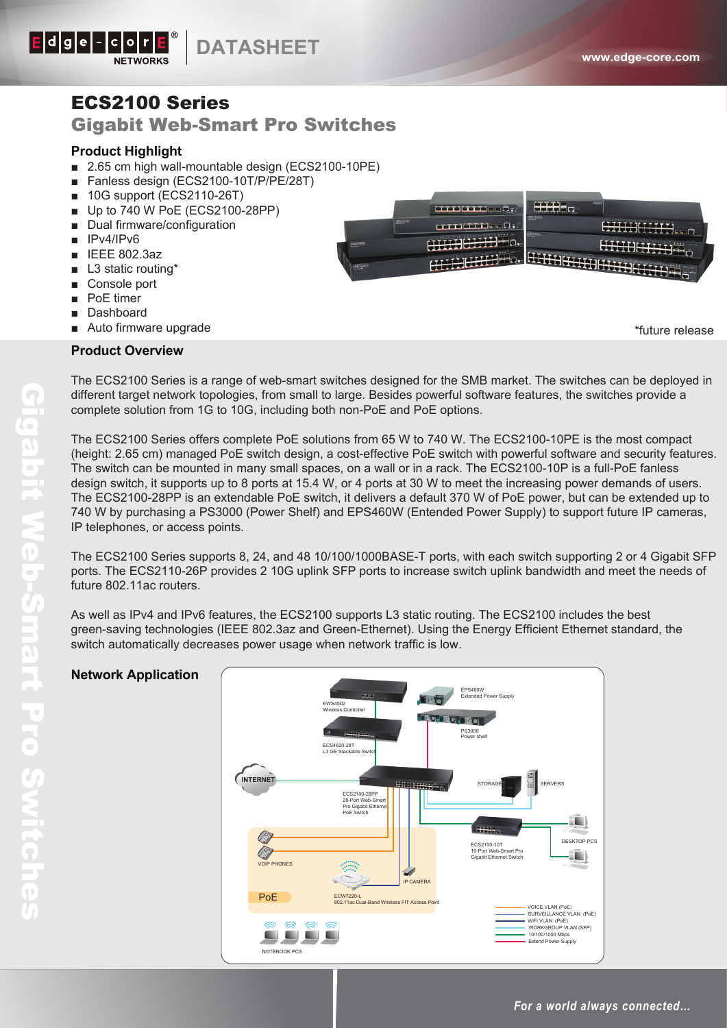

## ECS2100 Series

## Gigabit Web-Smart Pro Switches

#### **Product Highlight**

- 2.65 cm high wall-mountable design (ECS2100-10PE)
- Fanless design (ECS2100-10T/P/PE/28T)
- 10G support (ECS2110-26T)
- Up to 740 W PoE (ECS2100-28PP)
- Dual firmware/configuration
- IPv4/IPv6
- IEEE 802.3az
- L3 static routing<sup>\*</sup>
- Console port
- PoE timer
- Dashboard
- Auto firmware upgrade



\*future release

#### **Product Overview**

The ECS2100 Series is a range of web-smart switches designed for the SMB market. The switches can be deployed in different target network topologies, from small to large. Besides powerful software features, the switches provide a complete solution from 1G to 10G, including both non-PoE and PoE options.

The ECS2100 Series offers complete PoE solutions from 65 W to 740 W. The ECS2100-10PE is the most compact (height: 2.65 cm) managed PoE switch design, a cost-effective PoE switch with powerful software and security features. The switch can be mounted in many small spaces, on a wall or in a rack. The ECS2100-10P is a full-PoE fanless design switch, it supports up to 8 ports at 15.4 W, or 4 ports at 30 W to meet the increasing power demands of users. The ECS2100-28PP is an extendable PoE switch, it delivers a default 370 W of PoE power, but can be extended up to 740 W by purchasing a PS3000 (Power Shelf) and EPS460W (Entended Power Supply) to support future IP cameras, IP telephones, or access points.

The ECS2100 Series supports 8, 24, and 48 10/100/1000BASE-T ports, with each switch supporting 2 or 4 Gigabit SFP ports. The ECS2110-26P provides 2 10G uplink SFP ports to increase switch uplink bandwidth and meet the needs of future 802.11ac routers.

As well as IPv4 and IPv6 features, the ECS2100 supports L3 static routing. The ECS2100 includes the best green-saving technologies (IEEE 802.3az and Green-Ethernet). Using the Energy Efficient Ethernet standard, the switch automatically decreases power usage when network traffic is low.

### **Network Application**

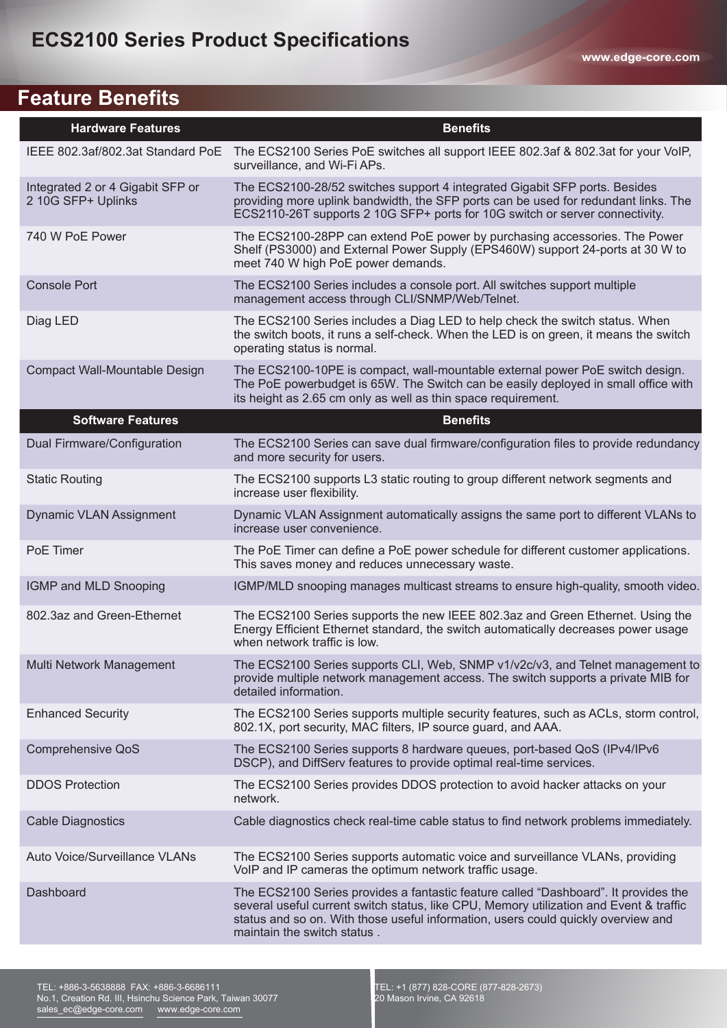# **Feature Benefits**

| <b>Hardware Features</b>                               | <b>Benefits</b>                                                                                                                                                                                                                                                                                   |
|--------------------------------------------------------|---------------------------------------------------------------------------------------------------------------------------------------------------------------------------------------------------------------------------------------------------------------------------------------------------|
| IEEE 802.3af/802.3at Standard PoE                      | The ECS2100 Series PoE switches all support IEEE 802.3af & 802.3at for your VoIP,<br>surveillance, and Wi-Fi APs.                                                                                                                                                                                 |
| Integrated 2 or 4 Gigabit SFP or<br>2 10G SFP+ Uplinks | The ECS2100-28/52 switches support 4 integrated Gigabit SFP ports. Besides<br>providing more uplink bandwidth, the SFP ports can be used for redundant links. The<br>ECS2110-26T supports 2 10G SFP+ ports for 10G switch or server connectivity.                                                 |
| 740 W PoE Power                                        | The ECS2100-28PP can extend PoE power by purchasing accessories. The Power<br>Shelf (PS3000) and External Power Supply (EPS460W) support 24-ports at 30 W to<br>meet 740 W high PoE power demands.                                                                                                |
| <b>Console Port</b>                                    | The ECS2100 Series includes a console port. All switches support multiple<br>management access through CLI/SNMP/Web/Telnet.                                                                                                                                                                       |
| Diag LED                                               | The ECS2100 Series includes a Diag LED to help check the switch status. When<br>the switch boots, it runs a self-check. When the LED is on green, it means the switch<br>operating status is normal.                                                                                              |
| Compact Wall-Mountable Design                          | The ECS2100-10PE is compact, wall-mountable external power PoE switch design.<br>The PoE powerbudget is 65W. The Switch can be easily deployed in small office with<br>its height as 2.65 cm only as well as thin space requirement.                                                              |
| <b>Software Features</b>                               | <b>Benefits</b>                                                                                                                                                                                                                                                                                   |
| Dual Firmware/Configuration                            | The ECS2100 Series can save dual firmware/configuration files to provide redundancy<br>and more security for users.                                                                                                                                                                               |
| <b>Static Routing</b>                                  | The ECS2100 supports L3 static routing to group different network segments and<br>increase user flexibility.                                                                                                                                                                                      |
| Dynamic VLAN Assignment                                | Dynamic VLAN Assignment automatically assigns the same port to different VLANs to<br>increase user convenience.                                                                                                                                                                                   |
| PoE Timer                                              | The PoE Timer can define a PoE power schedule for different customer applications.<br>This saves money and reduces unnecessary waste.                                                                                                                                                             |
| IGMP and MLD Snooping                                  | IGMP/MLD snooping manages multicast streams to ensure high-quality, smooth video.                                                                                                                                                                                                                 |
| 802.3az and Green-Ethernet                             | The ECS2100 Series supports the new IEEE 802.3az and Green Ethernet. Using the<br>Energy Efficient Ethernet standard, the switch automatically decreases power usage<br>when network traffic is low.                                                                                              |
| Multi Network Management                               | The ECS2100 Series supports CLI, Web, SNMP v1/v2c/v3, and Telnet management to<br>provide multiple network management access. The switch supports a private MIB for<br>detailed information.                                                                                                      |
| <b>Enhanced Security</b>                               | The ECS2100 Series supports multiple security features, such as ACLs, storm control,<br>802.1X, port security, MAC filters, IP source guard, and AAA.                                                                                                                                             |
| Comprehensive QoS                                      | The ECS2100 Series supports 8 hardware queues, port-based QoS (IPv4/IPv6)<br>DSCP), and DiffServ features to provide optimal real-time services.                                                                                                                                                  |
| <b>DDOS Protection</b>                                 | The ECS2100 Series provides DDOS protection to avoid hacker attacks on your<br>network.                                                                                                                                                                                                           |
| <b>Cable Diagnostics</b>                               | Cable diagnostics check real-time cable status to find network problems immediately.                                                                                                                                                                                                              |
| Auto Voice/Surveillance VLANs                          | The ECS2100 Series supports automatic voice and surveillance VLANs, providing<br>VoIP and IP cameras the optimum network traffic usage.                                                                                                                                                           |
| Dashboard                                              | The ECS2100 Series provides a fantastic feature called "Dashboard". It provides the<br>several useful current switch status, like CPU, Memory utilization and Event & traffic<br>status and so on. With those useful information, users could quickly overview and<br>maintain the switch status. |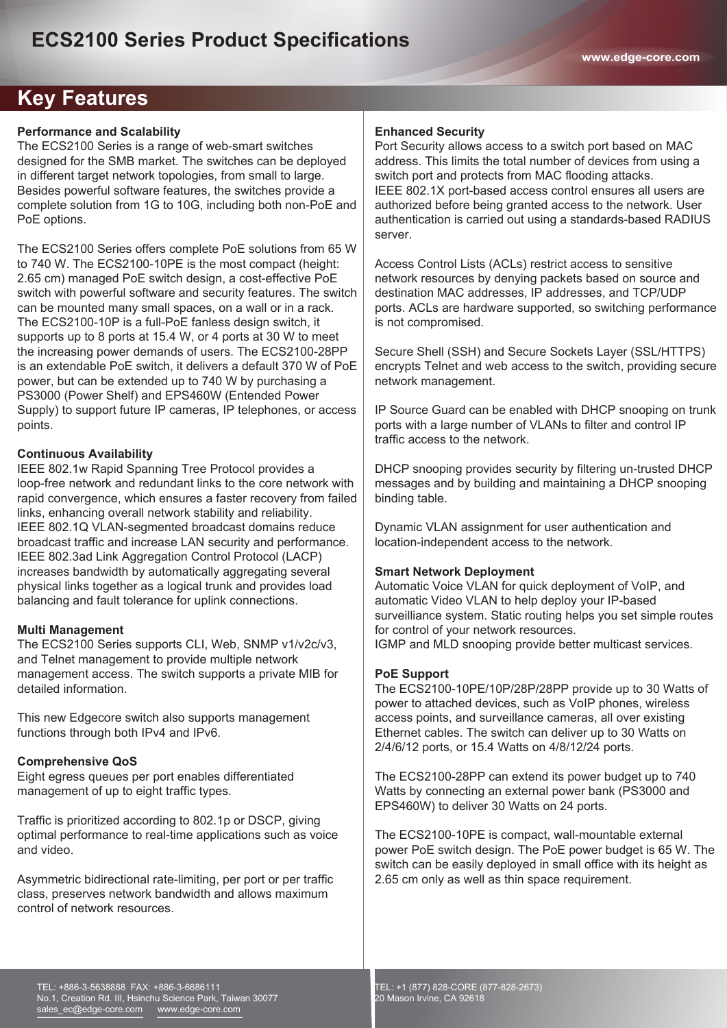## **Key Features**

#### **Performance and Scalability**

The ECS2100 Series is a range of web-smart switches designed for the SMB market. The switches can be deployed in different target network topologies, from small to large. Besides powerful software features, the switches provide a complete solution from 1G to 10G, including both non-PoE and PoE options.

The ECS2100 Series offers complete PoE solutions from 65 W to 740 W. The ECS2100-10PE is the most compact (height: 2.65 cm) managed PoE switch design, a cost-effective PoE switch with powerful software and security features. The switch can be mounted many small spaces, on a wall or in a rack. The ECS2100-10P is a full-PoE fanless design switch, it supports up to 8 ports at 15.4 W, or 4 ports at 30 W to meet the increasing power demands of users. The ECS2100-28PP is an extendable PoE switch, it delivers a default 370 W of PoE power, but can be extended up to 740 W by purchasing a PS3000 (Power Shelf) and EPS460W (Entended Power Supply) to support future IP cameras, IP telephones, or access points.

#### **Continuous Availability**

IEEE 802.1w Rapid Spanning Tree Protocol provides a loop-free network and redundant links to the core network with rapid convergence, which ensures a faster recovery from failed links, enhancing overall network stability and reliability. IEEE 802.1Q VLAN-segmented broadcast domains reduce broadcast traffic and increase LAN security and performance. IEEE 802.3ad Link Aggregation Control Protocol (LACP) increases bandwidth by automatically aggregating several physical links together as a logical trunk and provides load balancing and fault tolerance for uplink connections.

#### **Multi Management**

The ECS2100 Series supports CLI, Web, SNMP v1/v2c/v3, and Telnet management to provide multiple network management access. The switch supports a private MIB for detailed information.

This new Edgecore switch also supports management functions through both IPv4 and IPv6.

#### **Comprehensive QoS**

Eight egress queues per port enables differentiated management of up to eight traffic types.

Traffic is prioritized according to 802.1p or DSCP, giving optimal performance to real-time applications such as voice and video.

Asymmetric bidirectional rate-limiting, per port or per traffic class, preserves network bandwidth and allows maximum control of network resources.

#### **Enhanced Security**

Port Security allows access to a switch port based on MAC address. This limits the total number of devices from using a switch port and protects from MAC flooding attacks. IEEE 802.1X port-based access control ensures all users are authorized before being granted access to the network. User authentication is carried out using a standards-based RADIUS server.

Access Control Lists (ACLs) restrict access to sensitive network resources by denying packets based on source and destination MAC addresses, IP addresses, and TCP/UDP ports. ACLs are hardware supported, so switching performance is not compromised.

Secure Shell (SSH) and Secure Sockets Layer (SSL/HTTPS) encrypts Telnet and web access to the switch, providing secure network management.

IP Source Guard can be enabled with DHCP snooping on trunk ports with a large number of VLANs to filter and control IP traffic access to the network.

DHCP snooping provides security by filtering un-trusted DHCP messages and by building and maintaining a DHCP snooping binding table.

Dynamic VLAN assignment for user authentication and location-independent access to the network.

#### **Smart Network Deployment**

Automatic Voice VLAN for quick deployment of VoIP, and automatic Video VLAN to help deploy your IP-based surveilliance system. Static routing helps you set simple routes for control of your network resources. IGMP and MLD snooping provide better multicast services.

#### **PoE Support**

The ECS2100-10PE/10P/28P/28PP provide up to 30 Watts of power to attached devices, such as VoIP phones, wireless access points, and surveillance cameras, all over existing Ethernet cables. The switch can deliver up to 30 Watts on 2/4/6/12 ports, or 15.4 Watts on 4/8/12/24 ports.

The ECS2100-28PP can extend its power budget up to 740 Watts by connecting an external power bank (PS3000 and EPS460W) to deliver 30 Watts on 24 ports.

The ECS2100-10PE is compact, wall-mountable external power PoE switch design. The PoE power budget is 65 W. The switch can be easily deployed in small office with its height as 2.65 cm only as well as thin space requirement.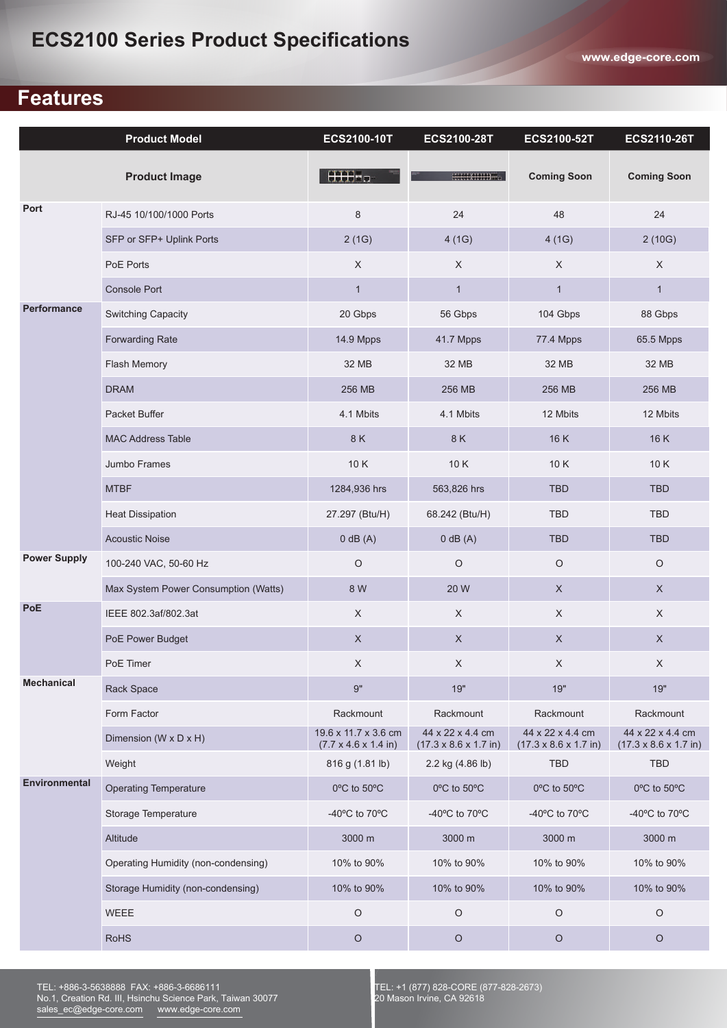## **Features**

|                      | <b>Product Model</b>                 | ECS2100-10T                                                      | <b>ECS2100-28T</b>                                            | ECS2100-52T                                                   | <b>ECS2110-26T</b>                                            |
|----------------------|--------------------------------------|------------------------------------------------------------------|---------------------------------------------------------------|---------------------------------------------------------------|---------------------------------------------------------------|
|                      | <b>Product Image</b>                 | HHH-o                                                            | creecelecceom.                                                | <b>Coming Soon</b>                                            | <b>Coming Soon</b>                                            |
| Port                 | RJ-45 10/100/1000 Ports              | 8                                                                | 24                                                            | 48                                                            | 24                                                            |
|                      | SFP or SFP+ Uplink Ports             | 2(1G)                                                            | 4(1G)                                                         | 4(1G)                                                         | 2(10G)                                                        |
|                      | PoE Ports                            | $\mathsf X$                                                      | X                                                             | $\mathsf X$                                                   | X                                                             |
|                      | Console Port                         | $\mathbf{1}$                                                     | $\mathbf{1}$                                                  | $\mathbf{1}$                                                  | $\mathbf{1}$                                                  |
| <b>Performance</b>   | Switching Capacity                   | 20 Gbps                                                          | 56 Gbps                                                       | 104 Gbps                                                      | 88 Gbps                                                       |
|                      | <b>Forwarding Rate</b>               | 14.9 Mpps                                                        | 41.7 Mpps                                                     | 77.4 Mpps                                                     | 65.5 Mpps                                                     |
|                      | Flash Memory                         | 32 MB                                                            | 32 MB                                                         | 32 MB                                                         | 32 MB                                                         |
|                      | <b>DRAM</b>                          | 256 MB                                                           | 256 MB                                                        | 256 MB                                                        | 256 MB                                                        |
|                      | Packet Buffer                        | 4.1 Mbits                                                        | 4.1 Mbits                                                     | 12 Mbits                                                      | 12 Mbits                                                      |
|                      | <b>MAC Address Table</b>             | 8 K                                                              | 8 K                                                           | 16 K                                                          | 16K                                                           |
|                      | Jumbo Frames                         | 10K                                                              | 10K                                                           | 10K                                                           | 10K                                                           |
|                      | <b>MTBF</b>                          | 1284,936 hrs                                                     | 563,826 hrs                                                   | <b>TBD</b>                                                    | <b>TBD</b>                                                    |
|                      | <b>Heat Dissipation</b>              | 27.297 (Btu/H)                                                   | 68.242 (Btu/H)                                                | <b>TBD</b>                                                    | <b>TBD</b>                                                    |
|                      | <b>Acoustic Noise</b>                | $0$ dB $(A)$                                                     | $0$ dB $(A)$                                                  | <b>TBD</b>                                                    | <b>TBD</b>                                                    |
| <b>Power Supply</b>  | 100-240 VAC, 50-60 Hz                | $\circ$                                                          | $\circ$                                                       | $\circ$                                                       | $\circ$                                                       |
|                      | Max System Power Consumption (Watts) | 8 W                                                              | 20 W                                                          | $\mathsf X$                                                   | $\mathsf X$                                                   |
| PoE                  | IEEE 802.3af/802.3at                 | $\times$                                                         | $\times$                                                      | $\mathsf X$                                                   | $\mathsf X$                                                   |
|                      | PoE Power Budget                     | $\mathsf X$                                                      | $\mathsf X$                                                   | $\mathsf X$                                                   | $\mathsf X$                                                   |
|                      | PoE Timer                            | $\mathsf X$                                                      | $\mathsf X$                                                   | $\mathsf X$                                                   | $\mathsf X$                                                   |
| <b>Mechanical</b>    | Rack Space                           | 9"                                                               | 19"                                                           | 19"                                                           | 19"                                                           |
|                      | Form Factor                          | Rackmount                                                        | Rackmount                                                     | Rackmount                                                     | Rackmount                                                     |
|                      | Dimension ( $W \times D \times H$ )  | 19.6 x 11.7 x 3.6 cm<br>$(7.7 \times 4.6 \times 1.4 \text{ in})$ | 44 x 22 x 4.4 cm<br>$(17.3 \times 8.6 \times 1.7 \text{ in})$ | 44 x 22 x 4.4 cm<br>$(17.3 \times 8.6 \times 1.7 \text{ in})$ | 44 x 22 x 4.4 cm<br>$(17.3 \times 8.6 \times 1.7 \text{ in})$ |
|                      | Weight                               | 816 g (1.81 lb)                                                  | 2.2 kg (4.86 lb)                                              | <b>TBD</b>                                                    | <b>TBD</b>                                                    |
| <b>Environmental</b> | <b>Operating Temperature</b>         | 0°C to 50°C                                                      | 0°C to 50°C                                                   | 0°C to 50°C                                                   | 0°C to 50°C                                                   |
|                      | Storage Temperature                  | -40 $^{\circ}$ C to 70 $^{\circ}$ C                              | -40 $^{\circ}$ C to 70 $^{\circ}$ C                           | -40 $^{\circ}$ C to 70 $^{\circ}$ C                           | -40°C to 70°C                                                 |
|                      | Altitude                             | 3000 m                                                           | 3000 m                                                        | 3000 m                                                        | 3000 m                                                        |
|                      | Operating Humidity (non-condensing)  | 10% to 90%                                                       | 10% to 90%                                                    | 10% to 90%                                                    | 10% to 90%                                                    |
|                      | Storage Humidity (non-condensing)    | 10% to 90%                                                       | 10% to 90%                                                    | 10% to 90%                                                    | 10% to 90%                                                    |
|                      | WEEE                                 | $\circ$                                                          | $\circ$                                                       | $\circ$                                                       | $\circ$                                                       |
|                      | <b>RoHS</b>                          | $\circ$                                                          | $\hbox{O}$                                                    | $\circ$                                                       | $\circ$                                                       |

TEL: +886-3-5638888 FAX: +886-3-6686111 No.1, Creation Rd. III, Hsinchu Science Park, Taiwan 30077 sales\_ec@edge-core.com www.edge-core.com

TEL: +1 (877) 828-CORE (877-828-2673) 20 Mason Irvine, CA 92618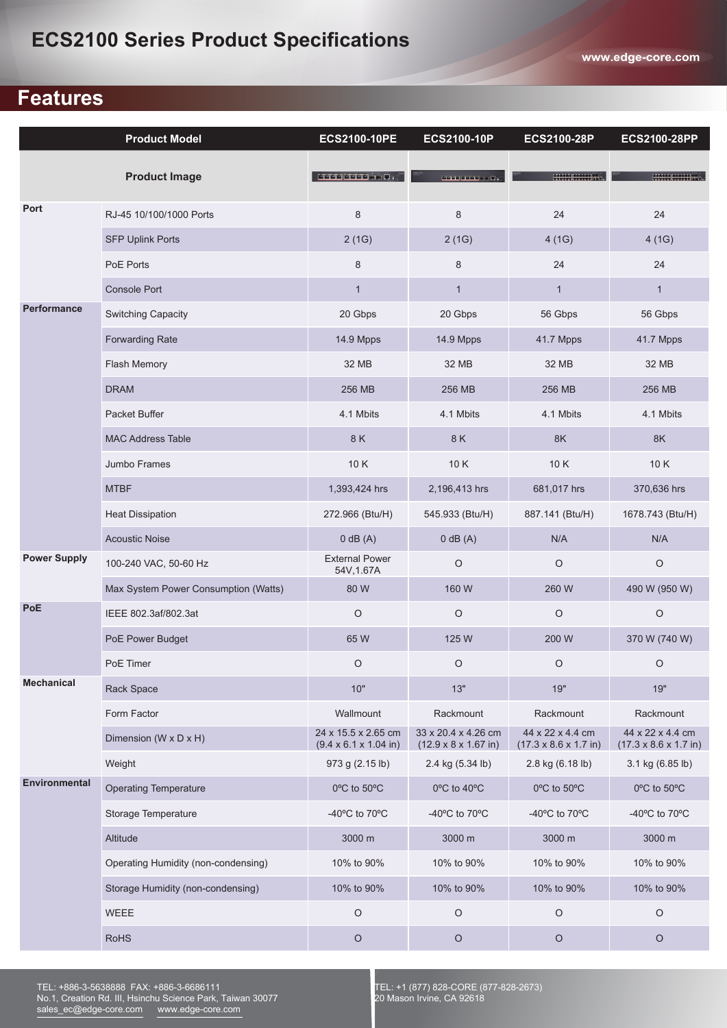## **Features**

|                      | <b>Product Model</b>                 | <b>ECS2100-10PE</b>                                       | ECS2100-10P                                                     | ECS2100-28P                                                   | <b>ECS2100-28PP</b>                                           |
|----------------------|--------------------------------------|-----------------------------------------------------------|-----------------------------------------------------------------|---------------------------------------------------------------|---------------------------------------------------------------|
|                      | <b>Product Image</b>                 | 1111111111110                                             |                                                                 |                                                               | HULLEND TO                                                    |
| Port                 | RJ-45 10/100/1000 Ports              | 8                                                         | 8                                                               | 24                                                            | 24                                                            |
|                      | <b>SFP Uplink Ports</b>              | 2(1G)                                                     | 2(1G)                                                           | 4(1G)                                                         | 4(1G)                                                         |
|                      | PoE Ports                            | 8                                                         | 8                                                               | 24                                                            | 24                                                            |
|                      | <b>Console Port</b>                  | $\mathbf{1}$                                              | $\mathbf{1}$                                                    | $\mathbf{1}$                                                  | $\mathbf{1}$                                                  |
| <b>Performance</b>   | Switching Capacity                   | 20 Gbps                                                   | 20 Gbps                                                         | 56 Gbps                                                       | 56 Gbps                                                       |
|                      | <b>Forwarding Rate</b>               | 14.9 Mpps                                                 | 14.9 Mpps                                                       | 41.7 Mpps                                                     | 41.7 Mpps                                                     |
|                      | Flash Memory                         | 32 MB                                                     | 32 MB                                                           | 32 MB                                                         | 32 MB                                                         |
|                      | <b>DRAM</b>                          | 256 MB                                                    | 256 MB                                                          | 256 MB                                                        | 256 MB                                                        |
|                      | Packet Buffer                        | 4.1 Mbits                                                 | 4.1 Mbits                                                       | 4.1 Mbits                                                     | 4.1 Mbits                                                     |
|                      | <b>MAC Address Table</b>             | 8 K                                                       | 8K                                                              | 8K                                                            | 8K                                                            |
|                      | Jumbo Frames                         | 10K                                                       | 10K                                                             | 10K                                                           | 10K                                                           |
|                      | <b>MTBF</b>                          | 1,393,424 hrs                                             | 2,196,413 hrs                                                   | 681,017 hrs                                                   | 370,636 hrs                                                   |
|                      | <b>Heat Dissipation</b>              | 272.966 (Btu/H)                                           | 545.933 (Btu/H)                                                 | 887.141 (Btu/H)                                               | 1678.743 (Btu/H)                                              |
|                      | <b>Acoustic Noise</b>                | $0$ dB $(A)$                                              | $0$ dB $(A)$                                                    | N/A                                                           | N/A                                                           |
| <b>Power Supply</b>  | 100-240 VAC, 50-60 Hz                | <b>External Power</b><br>54V, 1.67A                       | $\circ$                                                         | $\circ$                                                       | $\circ$                                                       |
|                      | Max System Power Consumption (Watts) | 80 W                                                      | 160 W                                                           | 260 W                                                         | 490 W (950 W)                                                 |
| PoE                  | IEEE 802.3af/802.3at                 | $\circ$                                                   | $\circ$                                                         | $\circ$                                                       | $\circ$                                                       |
|                      | PoE Power Budget                     | 65W                                                       | 125 W                                                           | 200 W                                                         | 370 W (740 W)                                                 |
|                      | PoE Timer                            | $\circ$                                                   | $\hbox{O}$                                                      | O                                                             | O                                                             |
| <b>Mechanical</b>    | Rack Space                           | 10"                                                       | 13"                                                             | 19"                                                           | 19"                                                           |
|                      | Form Factor                          | Wallmount                                                 | Rackmount                                                       | Rackmount                                                     | Rackmount                                                     |
|                      | Dimension ( $W \times D \times H$ )  | 24 x 15.5 x 2.65 cm<br>$(9.4 \times 6.1 \times 1.04)$ in) | 33 x 20.4 x 4.26 cm<br>$(12.9 \times 8 \times 1.67 \text{ in})$ | 44 x 22 x 4.4 cm<br>$(17.3 \times 8.6 \times 1.7 \text{ in})$ | 44 x 22 x 4.4 cm<br>$(17.3 \times 8.6 \times 1.7 \text{ in})$ |
|                      | Weight                               | 973 g (2.15 lb)                                           | 2.4 kg (5.34 lb)                                                | 2.8 kg (6.18 lb)                                              | 3.1 kg (6.85 lb)                                              |
| <b>Environmental</b> | <b>Operating Temperature</b>         | 0°C to 50°C                                               | 0°C to 40°C                                                     | 0°C to 50°C                                                   | 0°C to 50°C                                                   |
|                      | Storage Temperature                  | -40 $^{\circ}$ C to 70 $^{\circ}$ C                       | -40°C to 70°C                                                   | -40 $^{\circ}$ C to 70 $^{\circ}$ C                           | -40°C to 70°C                                                 |
|                      | Altitude                             | 3000 m                                                    | 3000 m                                                          | 3000 m                                                        | 3000 m                                                        |
|                      | Operating Humidity (non-condensing)  | 10% to 90%                                                | 10% to 90%                                                      | 10% to 90%                                                    | 10% to 90%                                                    |
|                      | Storage Humidity (non-condensing)    | 10% to 90%                                                | 10% to 90%                                                      | 10% to 90%                                                    | 10% to 90%                                                    |
|                      | <b>WEEE</b>                          | $\circ$                                                   | $\circ$                                                         | $\circ$                                                       | $\circ$                                                       |
|                      | <b>RoHS</b>                          | $\circ$                                                   | $\circ$                                                         | $\circ$                                                       | $\circ$                                                       |

TEL: +886-3-5638888 FAX: +886-3-6686111 No.1, Creation Rd. III, Hsinchu Science Park, Taiwan 30077 sales\_ec@edge-core.com www.edge-core.com

TEL: +1 (877) 828-CORE (877-828-2673) 20 Mason Irvine, CA 92618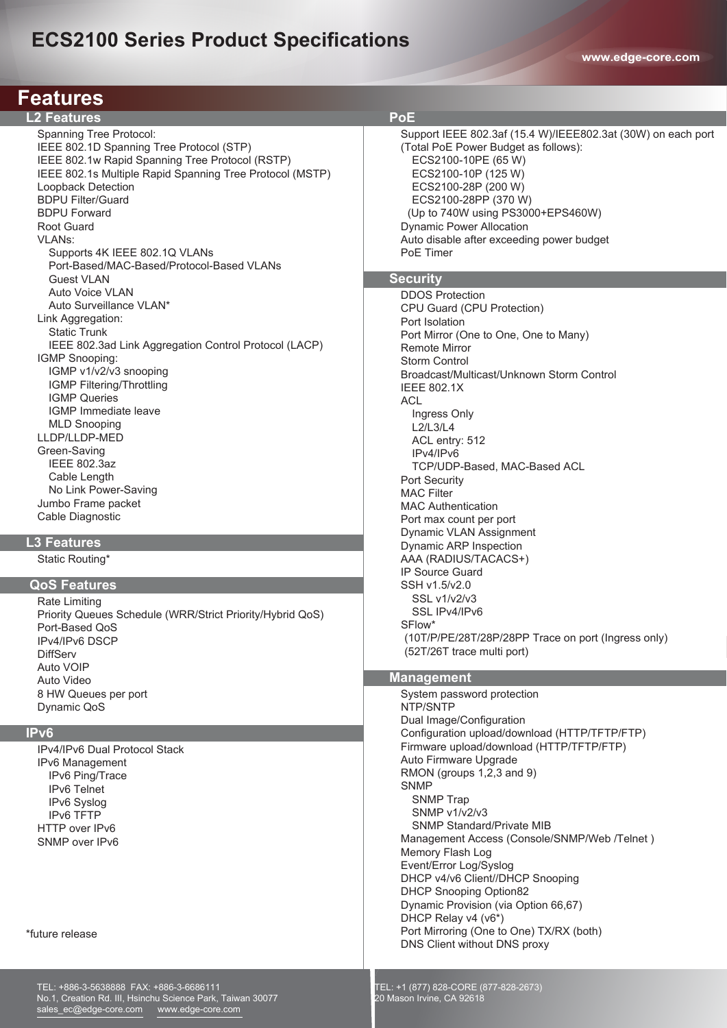# **ECS2100 Series Product Specifications**

**www.edge-core.com**

| <b>Features</b>                                                                                                                                                                                                                                                                                                                                                                                                                                                                                                                                                                                                                                                                                                                                                                                                                                                                                                                                                                                                                                                                                                                                                                                                    |                                                                                                                                                                                                                                                                                                                                                                                                                                                                                                                                                                                                                                                                                                                                                                                                                                                                                                                                                                                                                                                                                                                                                                                                                                                                                                                   |
|--------------------------------------------------------------------------------------------------------------------------------------------------------------------------------------------------------------------------------------------------------------------------------------------------------------------------------------------------------------------------------------------------------------------------------------------------------------------------------------------------------------------------------------------------------------------------------------------------------------------------------------------------------------------------------------------------------------------------------------------------------------------------------------------------------------------------------------------------------------------------------------------------------------------------------------------------------------------------------------------------------------------------------------------------------------------------------------------------------------------------------------------------------------------------------------------------------------------|-------------------------------------------------------------------------------------------------------------------------------------------------------------------------------------------------------------------------------------------------------------------------------------------------------------------------------------------------------------------------------------------------------------------------------------------------------------------------------------------------------------------------------------------------------------------------------------------------------------------------------------------------------------------------------------------------------------------------------------------------------------------------------------------------------------------------------------------------------------------------------------------------------------------------------------------------------------------------------------------------------------------------------------------------------------------------------------------------------------------------------------------------------------------------------------------------------------------------------------------------------------------------------------------------------------------|
| <b>L2 Features</b>                                                                                                                                                                                                                                                                                                                                                                                                                                                                                                                                                                                                                                                                                                                                                                                                                                                                                                                                                                                                                                                                                                                                                                                                 | <b>PoE</b>                                                                                                                                                                                                                                                                                                                                                                                                                                                                                                                                                                                                                                                                                                                                                                                                                                                                                                                                                                                                                                                                                                                                                                                                                                                                                                        |
| Spanning Tree Protocol:<br>IEEE 802.1D Spanning Tree Protocol (STP)<br>IEEE 802.1w Rapid Spanning Tree Protocol (RSTP)<br>IEEE 802.1s Multiple Rapid Spanning Tree Protocol (MSTP)<br>Loopback Detection<br><b>BDPU Filter/Guard</b><br><b>BDPU Forward</b><br><b>Root Guard</b><br><b>VLANs:</b><br>Supports 4K IEEE 802.1Q VLANs<br>Port-Based/MAC-Based/Protocol-Based VLANs<br><b>Guest VLAN</b><br>Auto Voice VLAN<br>Auto Surveillance VLAN*<br>Link Aggregation:<br><b>Static Trunk</b><br>IEEE 802.3ad Link Aggregation Control Protocol (LACP)<br>IGMP Snooping:<br>IGMP v1/v2/v3 snooping<br>IGMP Filtering/Throttling<br><b>IGMP Queries</b><br>IGMP Immediate leave<br><b>MLD Snooping</b><br>LLDP/LLDP-MED<br>Green-Saving<br><b>IEEE 802.3az</b><br>Cable Length<br>No Link Power-Saving<br>Jumbo Frame packet<br>Cable Diagnostic<br><b>L3 Features</b><br>Static Routing*<br><b>QoS Features</b><br>Rate Limiting<br>Priority Queues Schedule (WRR/Strict Priority/Hybrid QoS)<br>Port-Based QoS<br>IPv4/IPv6 DSCP<br><b>DiffServ</b><br>Auto VOIP<br>Auto Video<br>8 HW Queues per port<br>Dynamic QoS<br>IP <sub>v6</sub><br>IPv4/IPv6 Dual Protocol Stack<br>IPv6 Management<br>IPv6 Ping/Trace | Support IEEE 802.3af (15.4 W)/IEEE802.3at (30W) on each port<br>(Total PoE Power Budget as follows):<br>ECS2100-10PE (65 W)<br>ECS2100-10P (125 W)<br>ECS2100-28P (200 W)<br>ECS2100-28PP (370 W)<br>(Up to 740W using PS3000+EPS460W)<br><b>Dynamic Power Allocation</b><br>Auto disable after exceeding power budget<br>PoE Timer<br>Security<br><b>DDOS Protection</b><br>CPU Guard (CPU Protection)<br>Port Isolation<br>Port Mirror (One to One, One to Many)<br><b>Remote Mirror</b><br><b>Storm Control</b><br>Broadcast/Multicast/Unknown Storm Control<br><b>IEEE 802.1X</b><br><b>ACL</b><br>Ingress Only<br>L2/L3/L4<br>ACL entry: 512<br>IPv4/IPv6<br>TCP/UDP-Based, MAC-Based ACL<br>Port Security<br><b>MAC Filter</b><br><b>MAC Authentication</b><br>Port max count per port<br>Dynamic VLAN Assignment<br>Dynamic ARP Inspection<br>AAA (RADIUS/TACACS+)<br><b>IP Source Guard</b><br>SSH v1.5/v2.0<br>SSL v1/v2/v3<br>SSL IPv4/IPv6<br>SFlow*<br>(10T/P/PE/28T/28P/28PP Trace on port (Ingress only)<br>(52T/26T trace multi port)<br><b>Management</b><br>System password protection<br>NTP/SNTP<br>Dual Image/Configuration<br>Configuration upload/download (HTTP/TFTP/FTP)<br>Firmware upload/download (HTTP/TFTP/FTP)<br>Auto Firmware Upgrade<br>RMON (groups 1,2,3 and 9)<br><b>SNMP</b> |
| IPv6 Telnet<br>IPv6 Syslog<br>IPv6 TFTP<br>HTTP over IPv6<br>SNMP over IPv6<br>*future release                                                                                                                                                                                                                                                                                                                                                                                                                                                                                                                                                                                                                                                                                                                                                                                                                                                                                                                                                                                                                                                                                                                     | <b>SNMP Trap</b><br><b>SNMP v1/v2/v3</b><br><b>SNMP Standard/Private MIB</b><br>Management Access (Console/SNMP/Web /Telnet)<br>Memory Flash Log<br>Event/Error Log/Syslog<br>DHCP v4/v6 Client//DHCP Snooping<br><b>DHCP Snooping Option82</b><br>Dynamic Provision (via Option 66,67)<br>DHCP Relay v4 (v6*)<br>Port Mirroring (One to One) TX/RX (both)                                                                                                                                                                                                                                                                                                                                                                                                                                                                                                                                                                                                                                                                                                                                                                                                                                                                                                                                                        |
| TEL: +886-3-5638888 FAX: +886-3-6686111<br>No.1, Creation Rd. III, Hsinchu Science Park, Taiwan 30077<br>sales_ec@edge-core.com    www.edge-core.com                                                                                                                                                                                                                                                                                                                                                                                                                                                                                                                                                                                                                                                                                                                                                                                                                                                                                                                                                                                                                                                               | DNS Client without DNS proxy<br>TEL: +1 (877) 828-CORE (877-828-2673)<br>20 Mason Irvine, CA 92618                                                                                                                                                                                                                                                                                                                                                                                                                                                                                                                                                                                                                                                                                                                                                                                                                                                                                                                                                                                                                                                                                                                                                                                                                |